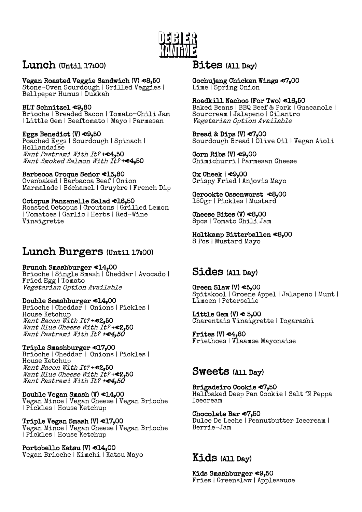

## Lunch (Until 17:00)

Vegan Roasted Veggie Sandwich (V) €8,50

Stone-Oven Sourdough | Grilled Veggies | Bellpeper Humus | Dukkah

 BLT Schnitzel €9,80

Brioche | Breaded Bacon | Tomato-Chili Jam | Little Gem | Beeftomato | Mayo | Parmesan

Eggs Benedict (V) €9,50 Poached Eggs | Sourdough | Spinach | Hollandaise Want Pastrami With It? +  $c4,50$ Want Smoked Salmon With It? +  $C4,50$ 

Barbecoa Croque Seńor €13,80 Ovenbaked | Barbacoa Beef | Onion Marmalade | Béchamel | Gruyère | French Dip

Octopus Panzanelle Salad €16,50 Roasted Octopus | Croutons | Grilled Lemon | Tomatoes | Garlic | Herbs | Red-Wine Vinaigrette

### $\overline{a}$ Lunch Burgers (Until 17:00)

Brunch Smashburger €14,00 Brioche | Single Smash | Cheddar | Avocado | Fried Egg | Tomato Vegetarian Option Available

 Double Smashburger €14,00 Brioche | Cheddar | Onions | Pickles | House Ketchup Want Bacon With It? +€2,50

Want Blue Cheese With It? +€2,50 Want Pastrami With It? +€4,50 

Triple Smashburger €17,00 Brioche | Cheddar | Onions | Pickles | House Ketchup Want Bacon With It? +€2,50 Want Blue Cheese With It?+€2,50 Want Pastrami With It? +€4,50

Double Vegan Smash (V) €14,00 Vegan Mince | Vegan Cheese | Vegan Brioche | Pickles | House Ketchup

Triple Vegan Smash (V) €17,00 Vegan Mince | Vegan Cheese | Vegan Brioche | Pickles | House Ketchup

Portobello Katsu (V) €14,00 Vegan Brioche | Kimchi | Katsu Mayo

## Bites (All Day)

Gochujang Chicken Wings €7,00 Lime | Spring Onion

Roadkill Nachos (For Two) €16,50 Baked Beans | BBQ Beef & Pork | Guacamole | Sourcream | Jalapeno | Cilantro Vegetarian Option Available

Bread & Dips  $(V) \in 7,00$ Sourdough Bread | Olive Oil | Vegan Aioli

Corn Ribs  $(V) \in 9,00$ Chimichurri | Parmesan Cheese

Ox Cheek | €9,00 Crispy Fried | Anjovis Mayo

Gerookte Ossenworst €8,00 150gr | Pickles | Mustard

 Cheese Bites  $(V) \triangleleft 8,00$ 8pcs | Tomato Chili Jam

Holtkamp Bitterballen €8,00 8 Pcs | Mustard Mayo

# Sides (All Day)

Green Slaw  $(V) \in 5,00$ Spitskool | Groene Appel | Jalapeno | Munt | Limoen | Peterselie

Little Gem  $(V) \in 5,00$ Charentais Vinaigrette | Togarashi

Frites  $(V) \in 4,80$ Friethoes | Vlaamse Mayonaise

# Sweets (All Day)

Brigadeiro Cookie €7,50 Halfbaked Deep Pan Cookie | Salt 'N Peppa Icecream

Chocolate Bar €7,50 Dulce De Leche | Peanutbutter Icecream | Berrie-Jam

## Kids (All Day)

Kids Smashburger €9,50 Fries | Greenslaw | Applesauce